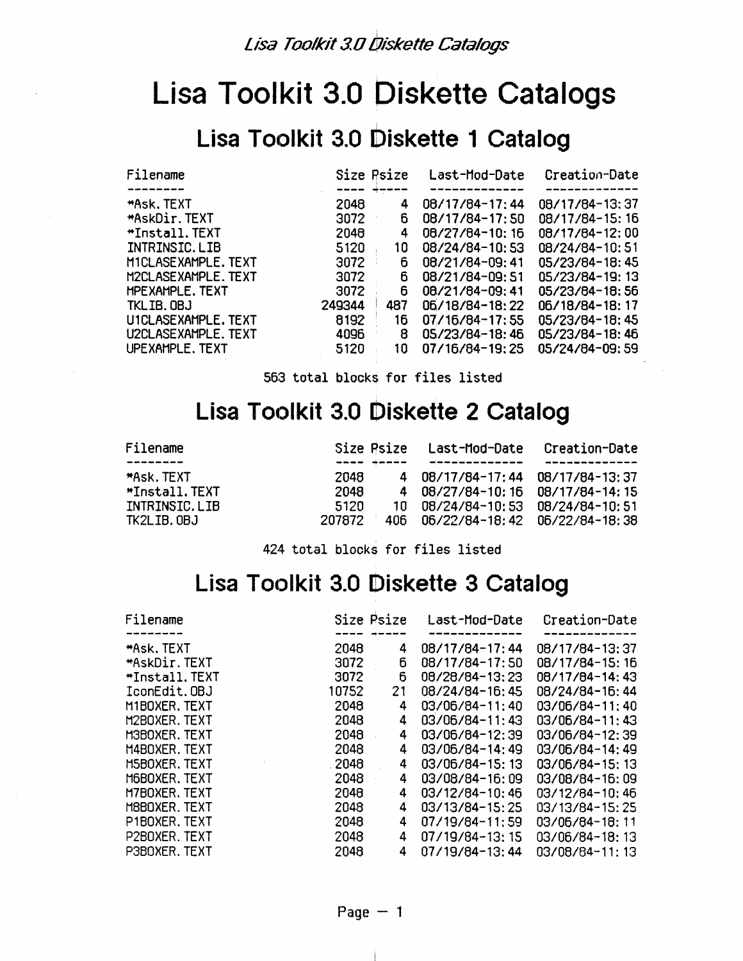#### Lisa Toolkit 3.0 Diskette 1 Catalog

| Filename               | Size Psize |     | Last-Mod-Date  | Creation-Date  |
|------------------------|------------|-----|----------------|----------------|
|                        |            |     |                |                |
| *Ask. TEXT             | 2048       | 4   | 08/17/84-17:44 | 08/17/84-13:37 |
| *AskDir.TEXT           | 3072       | 6   | 08/17/84-17:50 | 08/17/84-15:16 |
| <b>*Install.TEXT</b>   | 2048       | 4   | 08/27/84-10:16 | 08/17/84-12:00 |
| INTRINSIC.LIB          | 5120       | 10  | 08/24/84-10:53 | 08/24/84-10:51 |
| MICLASEXAMPLE, TEXT    | 3072       | 6   | 08/21/84-09:41 | 05/23/84-18:45 |
| M2CLASEXAMPLE.TEXT     | 3072       | 6.  | 08/21/84-09:51 | 05/23/84-19:13 |
| <b>MPEXAMPLE, TEXT</b> | 3072       | 6   | 08/21/84-09:41 | 05/23/84-18:56 |
| TKLIB. OBJ             | 249344     | 487 | 06/18/84-18:22 | 06/18/84-18:17 |
| U1CLASEXAMPLE. TEXT    | 8192       | 16  | 07/16/84-17:55 | 05/23/84-18:45 |
| U2CLASEXAMPLE, TEXT    | 4096       | 8   | 05/23/84-18:46 | 05/23/84-18:46 |
| UPEXAMPLE, TEXT        | 5120       | 10  | 07/16/84-19:25 | 05/24/84-09:59 |

563 total blocks for files listed

#### **Lisa Toolkit 3.0 Diskette 2 Catalog**

|        |                               | Creation-Date                                                                                                                             |
|--------|-------------------------------|-------------------------------------------------------------------------------------------------------------------------------------------|
|        |                               |                                                                                                                                           |
| 2048   | 08/17/84-17:44 08/17/84-13:37 |                                                                                                                                           |
| 2048   |                               |                                                                                                                                           |
| 5120   |                               |                                                                                                                                           |
| 207872 |                               |                                                                                                                                           |
|        |                               | Size Psize Last-Mod-Date<br>4<br>4 08/27/84-10:16 08/17/84-14:15<br>10 08/24/84-10:53 08/24/84-10:51<br>406 06/22/84-18:42 06/22/84-18:38 |

424 total blocks for files listed

#### **Lisa Toc)lkit 3.0 Diskette 3 Catalog**

| Filename          | Size Psize     | Last-Mod-Date  | Creation-Date  |
|-------------------|----------------|----------------|----------------|
| <b>*Ask. TEXT</b> | 2048           | 08/17/84-17:44 | 08/17/84-13:37 |
| *AskDir.TEXT      | 4<br>6<br>3072 | 08/17/84-17:50 | 08/17/84-15:16 |
| *Install.TEXT     | 6<br>3072      | 08/28/84-13:23 | 08/17/84-14:43 |
| IconEdit.OBJ      | 10752<br>21    | 08/24/84-16:45 | 08/24/84-16:44 |
| M1BOXER, TEXT     | 2048<br>4      | 03/06/84-11:40 | 03/06/84-11:40 |
| M2BOXER.TEXT      | 2048<br>4      | 03/06/84-11:43 | 03/06/84-11:43 |
| M3BOXER, TEXT     | 2048<br>4      | 03/06/84-12:39 | 03/06/84-12:39 |
| M4BOXER, TEXT     | 2048<br>4      | 03/06/84-14:49 | 03/06/84-14:49 |
| M5BOXER, TEXT     | .2048<br>4     | 03/06/84-15:13 | 03/06/84-15:13 |
| M6BOXER, TEXT     | 2048<br>4      | 03/08/84-16:09 | 03/08/84-16:09 |
| M7BOXER, TEXT     | 2048<br>4      | 03/12/84-10:46 | 03/12/84-10:46 |
| M8BOXER. TEXT     | 2048<br>4      | 03/13/84-15:25 | 03/13/84-15:25 |
| P1BOXER, TEXT     | 2048<br>4      | 07/19/84-11:59 | 03/06/84-18:11 |
| P2BOXER, TEXT     | 2048<br>4      | 07/19/84-13:15 | 03/06/84-18:13 |
| P3BOXER, TEXT     | 2048<br>4      | 07/19/84-13:44 | 03/08/84-11:13 |

÷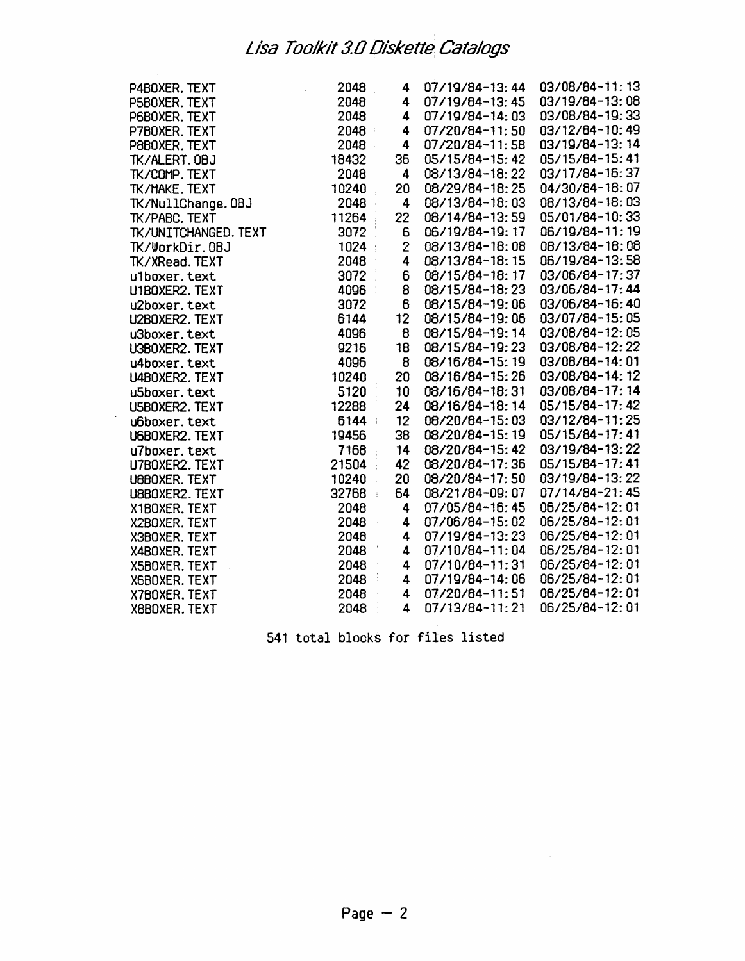$\bar{\lambda}$ 

 $\bar{\Delta}$ 

| P4BOXER. TEXT        | 2048  | 4                       | 07/19/84-13:44  | 03/08/84-11:13 |
|----------------------|-------|-------------------------|-----------------|----------------|
| P5B0XER. TEXT        | 2048  | 4                       | 07/19/84-13:45  | 03/19/84-13:08 |
| P6BOXER. TEXT        | 2048  | 4                       | 07/19/84-14:03  | 03/08/84-19:33 |
| P7BOXER. TEXT        | 2048  | 4                       | 07/20/84-11:50  | 03/12/84-10:49 |
| P8BOXER, TEXT        | 2048  | 4                       | 07/20/84-11:58  | 03/19/84-13:14 |
| TK/ALERT. OBJ        | 18432 | 36                      | 05/15/84-15:42  | 05/15/84-15:41 |
| TK/COMP. TEXT        | 2048  | 4                       | 08/13/84-18:22  | 03/17/84-16:37 |
| TK/MAKE. TEXT        | 10240 | 20                      | 08/29/84-18:25  | 04/30/84-18:07 |
| TK/NullChange. OBJ   | 2048  | 4                       | 08/13/84-18:03  | 08/13/84-18:03 |
| <b>TK/PABC. TEXT</b> | 11264 | 22                      | 08/14/84-13:59  | 05/01/84-10:33 |
| TK/UNITCHANGED. TEXT | 3072  | 6                       | 06/19/84-19:17  | 06/19/84-11:19 |
| TK/WorkDir.0BJ       | 1024  | $\overline{2}$          | 08/13/84-18:08  | 08/13/84-18:08 |
| TK/XRead. TEXT       | 2048  | $\overline{\mathbf{4}}$ | 08/13/84-18:15  | 06/19/84-13:58 |
| ulboxer.text         | 3072  | 6                       | 08/15/84-18:17  | 03/06/84-17:37 |
| U1BOXER2. TEXT       | 4096  | 8                       | 08/15/84-18:23  | 03/06/84-17:44 |
| u2boxer.text         | 3072  | 6                       | 08/15/84-19:06  | 03/06/84-16:40 |
| U2BOXER2. TEXT       | 6144  | 12                      | 08/15/84-19:06  | 03/07/84-15:05 |
| u3boxer.text         | 4096  | 8                       | 08/15/84-19:14  | 03/08/84-12:05 |
| U3BOXER2. TEXT       | 9216  | 18                      | 08/15/84-19:23  | 03/08/84-12:22 |
| u4boxer.text         | 4096  | 8                       | 08/16/84-15:19  | 03/08/84-14:01 |
| U4BOXER2. TEXT       | 10240 | 20                      | 08/16/84-15:26  | 03/08/84-14:12 |
| u5boxer.text         | 5120  | 10                      | 08/16/84-18:31  | 03/08/84-17:14 |
| U5BOXER2. TEXT       | 12288 | 24                      | 08/16/84-18:14  | 05/15/84-17:42 |
| u6boxer.text         | 6144  | 12                      | 08/20/84-15:03  | 03/12/84-11:25 |
| U6BOXER2. TEXT       | 19456 | 38                      | 08/20/84-15:19  | 05/15/84-17:41 |
| u7boxer.text         | 7168  | 14                      | 08/20/84-15:42  | 03/19/84-13:22 |
| U7BOXER2. TEXT       | 21504 | 42                      | 08/20/84-17:36  | 05/15/84-17:41 |
| U8BOXER. TEXT        | 10240 | 20                      | 08/20/84-17:50  | 03/19/84-13:22 |
| U8BOXER2. TEXT       | 32768 | 64                      | 08/21/84-09: 07 | 07/14/84-21:45 |
| X1BOXER, TEXT        | 2048  | 4                       | 07/05/84-16:45  | 06/25/84-12:01 |
| X2BOXER. TEXT        | 2048  | 4                       | 07/06/84-15:02  | 06/25/84-12:01 |
| X3BOXER. TEXT        | 2048  | 4                       | 07/19/84-13:23  | 06/25/84-12:01 |
| X4BOXER. TEXT        | 2048  | 4                       | 07/10/84-11:04  | 06/25/84-12:01 |
| X5B0XER. TEXT        | 2048  | 4                       | 07/10/84-11:31  | 06/25/84-12:01 |
| X6BOXER, TEXT        | 2048  | 4                       | 07/19/84-14:06  | 06/25/84-12:01 |
| X7B0XER. TEXT        | 2048  | 4                       | 07/20/84-11:51  | 06/25/84-12:01 |
| X8BOXER. TEXT        | 2048  | 4                       | 07/13/84-11:21  | 06/25/84-12:01 |

541 total block\$ for files listed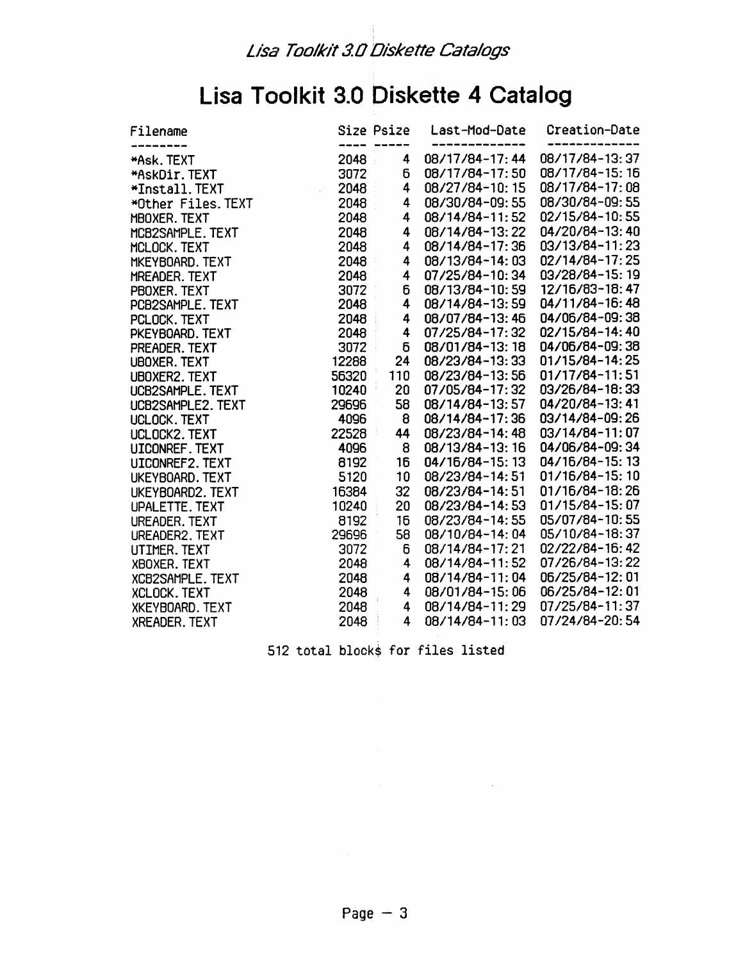## **Lisa Toolkit 3.0 Diskette 4 Catalog**

| Filename                |       | Size Psize     | Last-Mod-Date  | Creation-Date  |
|-------------------------|-------|----------------|----------------|----------------|
| *Ask. TEXT              | 2048  | 4              | 08/17/84-17:44 | 08/17/84-13:37 |
| *AskDir.TEXT            | 3072  | 6              | 08/17/84-17:50 | 08/17/84-15:16 |
| *Install. TEXT          | 2048  | 4              | 08/27/84-10:15 | 08/17/84-17:08 |
| *Other Files. TEXT      | 2048  | 4              | 08/30/84-09:55 | 08/30/84-09:55 |
| MBOXER. TEXT            | 2048  | 4              | 08/14/84-11:52 | 02/15/84-10:55 |
| MCB2SAMPLE. TEXT        | 2048  | 4              | 08/14/84-13:22 | 04/20/84-13:40 |
| MCLOCK. TEXT            | 2048  | 4              | 08/14/84-17:36 | 03/13/84-11:23 |
| MKEYBOARD, TEXT         | 2048  | 4              | 08/13/84-14:03 | 02/14/84-17:25 |
| MREADER. TEXT           | 2048  | 4              | 07/25/84-10:34 | 03/28/84-15:19 |
| PBOXER, TEXT            | 3072  | 6              | 08/13/84-10:59 | 12/16/83-18:47 |
| PCB2SAMPLE. TEXT        | 2048  | 4              | 08/14/84-13:59 | 04/11/84-16:48 |
| PCLOCK. TEXT            | 2048  | 4              | 08/07/84-13:46 | 04/06/84-09:38 |
| PKEYBOARD. TEXT         | 2048  | 4              | 07/25/84-17:32 | 02/15/84-14:40 |
| PREADER. TEXT           | 3072  | $\overline{6}$ | 08/01/84-13:18 | 04/06/84-09:38 |
| <b>UBOXER. TEXT</b>     | 12288 | 24             | 08/23/84-13:33 | 01/15/84-14:25 |
| UBOXER2. TEXT           | 56320 | 110            | 08/23/84-13:56 | 01/17/84-11:51 |
| UCB2SAMPLE. TEXT        | 10240 | 20             | 07/05/84-17:32 | 03/26/84-18:33 |
| UCB2SAMPLE2. TEXT       | 29696 | 58             | 08/14/84-13:57 | 04/20/84-13:41 |
| UCLOCK. TEXT            | 4096  | 8              | 08/14/84-17:36 | 03/14/84-09:26 |
| UCLOCK2. TEXT           | 22528 | 44             | 08/23/84-14:48 | 03/14/84-11:07 |
| UICONREF. TEXT          | 4096  | 8              | 08/13/84-13:16 | 04/06/84-09:34 |
| UICONREF2. TEXT         | 8192  | 16             | 04/16/84-15:13 | 04/16/84-15:13 |
| UKEYBOARD. TEXT         | 5120  | 10             | 08/23/84-14:51 | 01/16/84-15:10 |
| UKEYBOARD2. TEXT        | 16384 | 32             | 08/23/84-14:51 | 01/16/84-18:26 |
| UPALETTE. TEXT          | 10240 | 20             | 08/23/84-14:53 | 01/15/84-15:07 |
| UREADER, TEXT           | 8192  | 16             | 08/23/84-14:55 | 05/07/84-10:55 |
| UREADER2, TEXT          | 29696 | 58             | 08/10/84-14:04 | 05/10/84-18:37 |
| UTIMER. TEXT            | 3072  | 6              | 08/14/84-17:21 | 02/22/84-16:42 |
| XBOXER, TEXT            | 2048  | 4              | 08/14/84-11:52 | 07/26/84-13:22 |
| <b>XCB2SAMPLE. TEXT</b> | 2048  | 4              | 08/14/84-11:04 | 06/25/84-12:01 |
| <b>XCLOCK. TEXT</b>     | 2048  | 4              | 08/01/84-15:06 | 06/25/84-12:01 |
| <b>XKEYBOARD. TEXT</b>  | 2048  | 4              | 08/14/84-11:29 | 07/25/84-11:37 |
| <b>XREADER, TEXT</b>    | 2048  | 4              | 08/14/84-11:03 | 07/24/84-20:54 |

512 total blocks for files listed

 $\sim 10$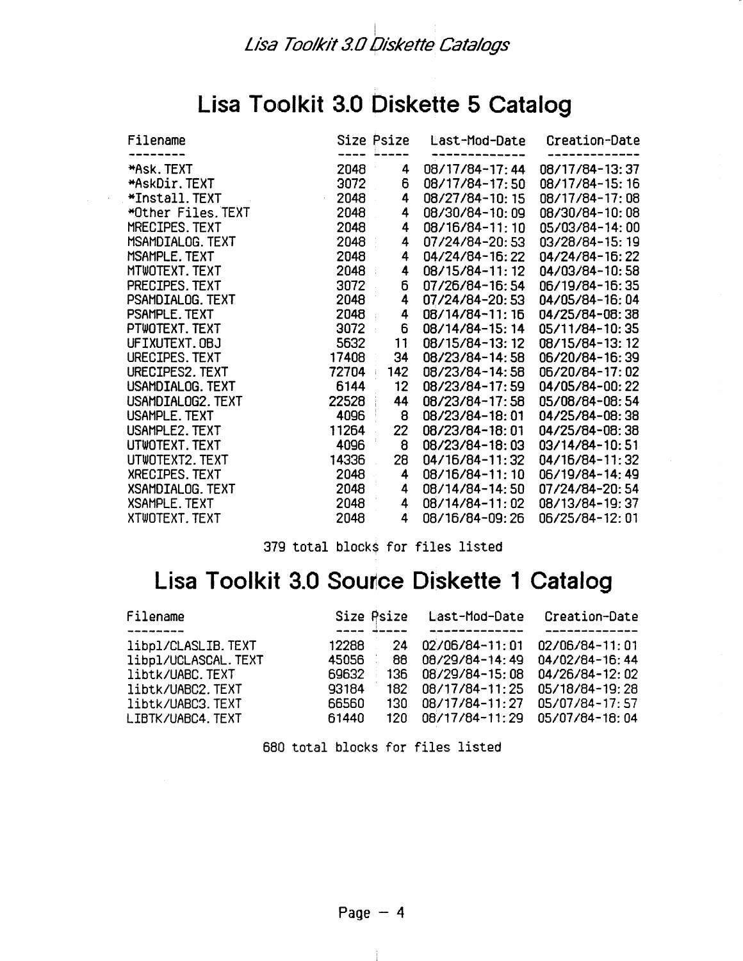### **Lisa Toolkit 3.0 Diskette 5 Catalog**

| Filename                |          | Size Psize | Last-Mod-Date  | Creation-Date  |
|-------------------------|----------|------------|----------------|----------------|
|                         |          |            |                |                |
| *Ask. TEXT              | 2048     | 4          | 08/17/84-17:44 | 08/17/84-13:37 |
| *AskDir.TEXT            | 3072     | 6          | 08/17/84-17:50 | 08/17/84-15:16 |
| *Install.TEXT           | 2048     | 4          | 08/27/84-10:15 | 08/17/84-17:08 |
| *Other Files.TEXT       | 2048     | 4          | 08/30/84-10:09 | 08/30/84-10:08 |
| MRECIPES TFXT           | 2048     | 4          | 08/16/84-11:10 | 05/03/84-14:00 |
| MSAMDIALOG. TEXT        | 2048     | 4          | 07/24/84-20:53 | 03/28/84-15:19 |
| MSAMPLE, TEXT           | 2048     | 4          | 04/24/84-16:22 | 04/24/84-16:22 |
| MTWOTEXT. TEXT          | 2048     | 4          | 08/15/84-11:12 | 04/03/84-10:58 |
| PRECIPES. TEXT          | 3072     | 6          | 07/26/84-16:54 | 06/19/84-16:35 |
| PSAMDIALOG. TEXT        | 2048     | 4          | 07/24/84-20:53 | 04/05/84-16:04 |
| PSAMPLE. TEXT           | 2048     | 4          | 08/14/84-11:16 | 04/25/84-08:38 |
| PTWOTEXT. TEXT          | $3072 -$ | 6          | 08/14/84-15:14 | 05/11/84-10:35 |
| UFIXUTEXT.OBJ           | 5632     | 11         | 08/15/84-13:12 | 08/15/84-13:12 |
| URECIPES. TEXT          | 17408    | 34         | 08/23/84-14:58 | 06/20/84-16:39 |
| URECIPES2. TEXT         | 72704    | 142        | 08/23/84-14:58 | 06/20/84-17:02 |
| USAMDIALOG. TEXT        | 6144     | $12 \,$    | 08/23/84-17:59 | 04/05/84-00:22 |
| USAMDIALOG2. TEXT       | 22528    | 44         | 08/23/84-17:58 | 05/08/84-08:54 |
| USAMPLE, TEXT           | 4096     | 8          | 08/23/84-18:01 | 04/25/84-08:38 |
| USAMPLE2. TEXT          | 11264    | 22         | 08/23/84-18:01 | 04/25/84-08:38 |
| UTWOTEXT. TEXT          | 4096     | 8          | 08/23/84-18:03 | 03/14/84-10:51 |
| UTWOTEXT2. TEXT         | 14336    | 28         | 04/16/84-11:32 | 04/16/84-11:32 |
| XRECIPES. TEXT          | 2048     | 4          | 08/16/84-11:10 | 06/19/84-14:49 |
| <b>XSAMDIALOG. TEXT</b> | 2048     | 4          | 08/14/84-14:50 | 07/24/84-20:54 |
| <b>XSAMPLE. TEXT</b>    | 2048     | 4          | 08/14/84-11:02 | 08/13/84-19:37 |
| XTWOTEXT. TEXT          | 2048     | 4          | 08/16/84-09:26 | 06/25/84-12:01 |

379 total blocks for files listed

## **Lisa Toolkit 3.0 Source Diskette 1 Catalog**

| Filename             | Size Psize |      | Last-Mod-Date  | Creation-Date  |
|----------------------|------------|------|----------------|----------------|
|                      |            |      |                |                |
| libpl/CLASLIB.TEXT   | 12288      | 24   | 02/06/84-11:01 | 02/06/84-11:01 |
| libpl/UCLASCAL. TEXT | 45056      | 88   | 08/29/84-14:49 | 04/02/84-16:44 |
| libtk/UABC.TEXT      | 69632      | 136. | 08/29/84-15:08 | 04/26/84-12:02 |
| libtk/UABC2.TEXT     | 93184      | 182. | 08/17/84-11:25 | 05/18/84-19:28 |
| libtk/UABC3. TEXT    | 66560      | 130  | 08/17/84-11:27 | 05/07/84-17:57 |
| LIBTK/UABC4. TEXT    | 61440      | 12N. | 08/17/84-11:29 | 05/07/84-18:04 |

680 total blocks for files listed

-11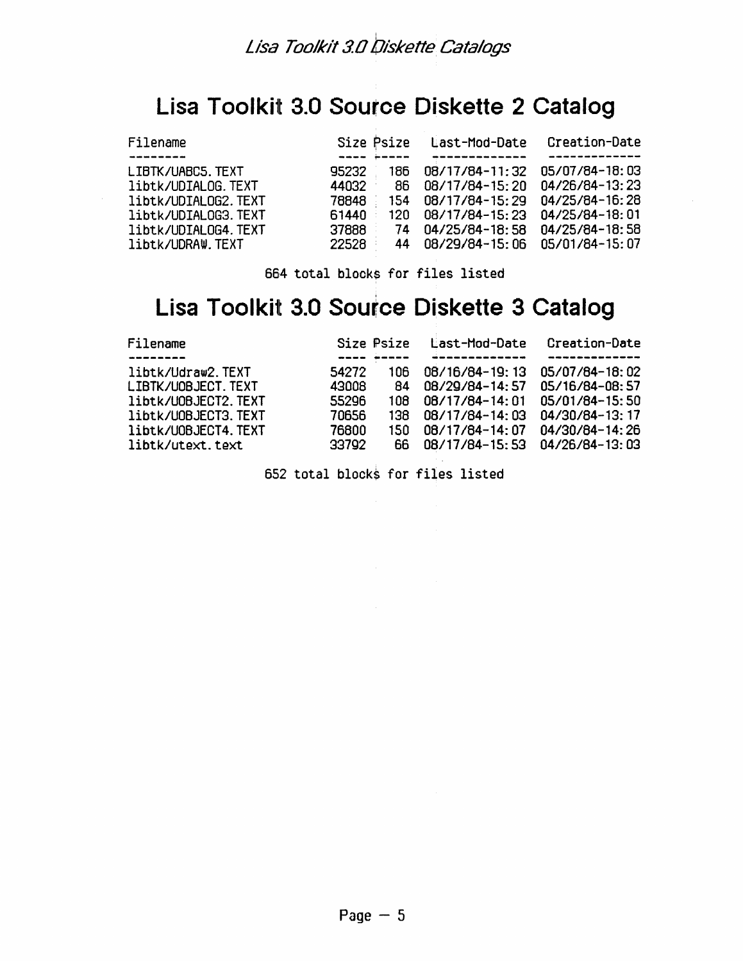### **Lisa Toolkit 3.0 Source Diskette 2 Catalog**

| Filename            | Size Psize    | Last-Mod-Date  | Creation-Date  |
|---------------------|---------------|----------------|----------------|
|                     |               |                |                |
| LIBTK/UABC5. TEXT   | 95232<br>186  | 08/17/84-11:32 | 05/07/84-18:03 |
| libtk/UDIALOG.TEXT  | 44032<br>86   | 08/17/84-15:20 | 04/26/84-13:23 |
| libtk/UDIALOG2.TEXT | 78848<br>154  | 08/17/84-15:29 | 04/25/84-16:28 |
| libtk/UDIAL0G3.TEXT | 61440<br>12N. | 08/17/84-15:23 | 04/25/84-18:01 |
| libtk/UDIAL0G4.TEXT | 37888<br>74   | 04/25/84-18:58 | 04/25/84-18:58 |
| libtk/UDRAW.TEXT    | 22528<br>44   | 08/29/84-15:06 | 05/01/84-15:07 |

664 total blocks for files listed

### **Lisa Toolkit 3.0 Source Diskette 3 Catalog**

| Filename                     | Size Psize | Last-Mod-Date  | Creation-Date  |
|------------------------------|------------|----------------|----------------|
|                              |            |                |                |
| libtk/Udraw2.TEXT<br>54272   | 106.       | 08/16/84-19:13 | 05/07/84-18:02 |
| 43008<br>LIBTK/UOBJECT. TEXT | R4         | 08/29/84-14:57 | 05/16/84-08:57 |
| 55296<br>libtk/U0BJECT2.TEXT | 108.       | 08/17/84-14:01 | 05/01/84-15:50 |
| libtk/U0BJECT3.TEXT<br>70656 | 138.       | 08/17/84-14:03 | 04/30/84-13:17 |
| libtk/U0BJECT4.TEXT<br>76800 | 150        | 08/17/84-14:07 | 04/30/84-14:26 |
| 33792<br>libtk/utext.text    | 66.        | 08/17/84-15:53 | 04/26/84-13:03 |

652 total blocks for files listed